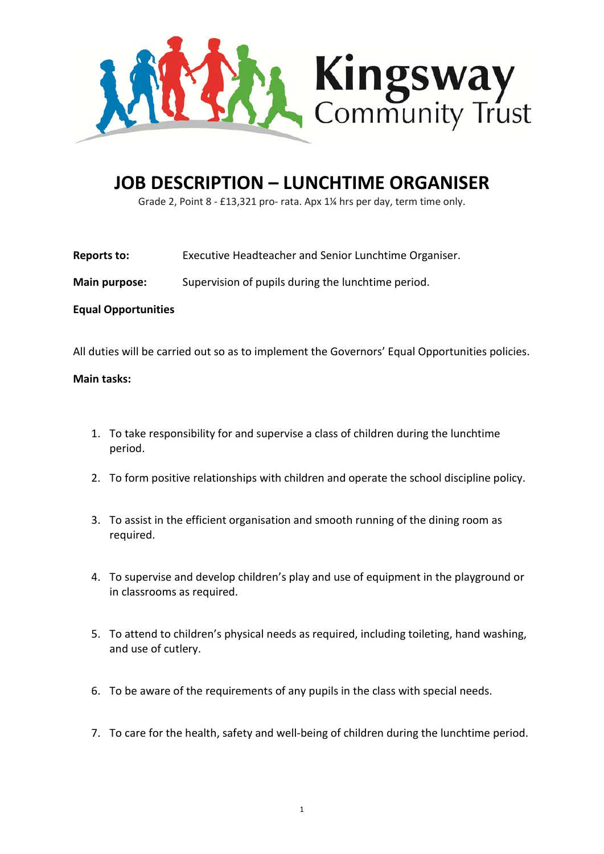

## **JOB DESCRIPTION – LUNCHTIME ORGANISER**

Grade 2, Point 8 - £13,321 pro- rata. Apx 1¼ hrs per day, term time only.

**Reports to:** Executive Headteacher and Senior Lunchtime Organiser.

**Main purpose:** Supervision of pupils during the lunchtime period.

### **Equal Opportunities**

All duties will be carried out so as to implement the Governors' Equal Opportunities policies.

#### **Main tasks:**

- 1. To take responsibility for and supervise a class of children during the lunchtime period.
- 2. To form positive relationships with children and operate the school discipline policy.
- 3. To assist in the efficient organisation and smooth running of the dining room as required.
- 4. To supervise and develop children's play and use of equipment in the playground or in classrooms as required.
- 5. To attend to children's physical needs as required, including toileting, hand washing, and use of cutlery.
- 6. To be aware of the requirements of any pupils in the class with special needs.
- 7. To care for the health, safety and well-being of children during the lunchtime period.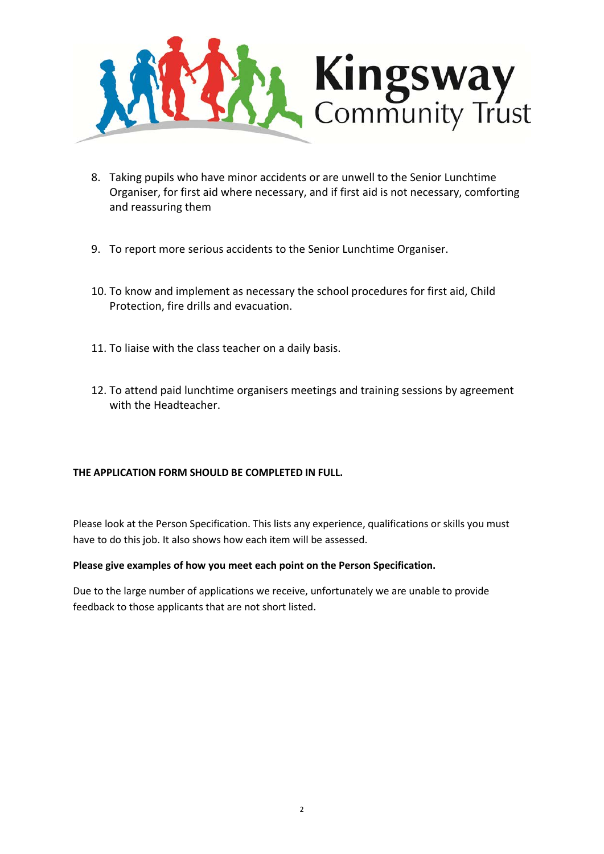

- 8. Taking pupils who have minor accidents or are unwell to the Senior Lunchtime Organiser, for first aid where necessary, and if first aid is not necessary, comforting and reassuring them
- 9. To report more serious accidents to the Senior Lunchtime Organiser.
- 10. To know and implement as necessary the school procedures for first aid, Child Protection, fire drills and evacuation.
- 11. To liaise with the class teacher on a daily basis.
- 12. To attend paid lunchtime organisers meetings and training sessions by agreement with the Headteacher.

#### **THE APPLICATION FORM SHOULD BE COMPLETED IN FULL.**

Please look at the Person Specification. This lists any experience, qualifications or skills you must have to do this job. It also shows how each item will be assessed.

#### **Please give examples of how you meet each point on the Person Specification.**

Due to the large number of applications we receive, unfortunately we are unable to provide feedback to those applicants that are not short listed.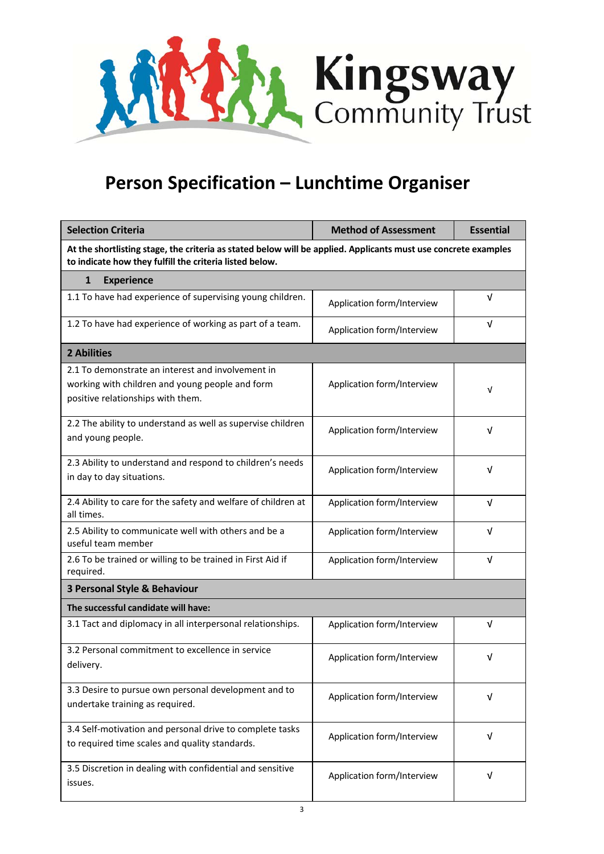

# **Person Specification – Lunchtime Organiser**

| <b>Selection Criteria</b>                                                                                                                                                 | <b>Method of Assessment</b> | <b>Essential</b> |  |
|---------------------------------------------------------------------------------------------------------------------------------------------------------------------------|-----------------------------|------------------|--|
| At the shortlisting stage, the criteria as stated below will be applied. Applicants must use concrete examples<br>to indicate how they fulfill the criteria listed below. |                             |                  |  |
| <b>Experience</b><br>1                                                                                                                                                    |                             |                  |  |
| 1.1 To have had experience of supervising young children.                                                                                                                 | Application form/Interview  | $\sqrt{ }$       |  |
| 1.2 To have had experience of working as part of a team.                                                                                                                  | Application form/Interview  | V                |  |
| <b>2 Abilities</b>                                                                                                                                                        |                             |                  |  |
| 2.1 To demonstrate an interest and involvement in<br>working with children and young people and form<br>positive relationships with them.                                 | Application form/Interview  | V                |  |
| 2.2 The ability to understand as well as supervise children<br>and young people.                                                                                          | Application form/Interview  | V                |  |
| 2.3 Ability to understand and respond to children's needs<br>in day to day situations.                                                                                    | Application form/Interview  | $\sqrt{ }$       |  |
| 2.4 Ability to care for the safety and welfare of children at<br>all times.                                                                                               | Application form/Interview  | $\sqrt{ }$       |  |
| 2.5 Ability to communicate well with others and be a<br>useful team member                                                                                                | Application form/Interview  | $\sqrt{ }$       |  |
| 2.6 To be trained or willing to be trained in First Aid if<br>required.                                                                                                   | Application form/Interview  | $\sqrt{ }$       |  |
| 3 Personal Style & Behaviour                                                                                                                                              |                             |                  |  |
| The successful candidate will have:                                                                                                                                       |                             |                  |  |
| 3.1 Tact and diplomacy in all interpersonal relationships.                                                                                                                | Application form/Interview  | $\sqrt{ }$       |  |
| 3.2 Personal commitment to excellence in service<br>delivery.                                                                                                             | Application form/Interview  | v                |  |
| 3.3 Desire to pursue own personal development and to<br>undertake training as required.                                                                                   | Application form/Interview  | V                |  |
| 3.4 Self-motivation and personal drive to complete tasks<br>to required time scales and quality standards.                                                                | Application form/Interview  | $\sqrt{ }$       |  |
| 3.5 Discretion in dealing with confidential and sensitive<br>issues.                                                                                                      | Application form/Interview  | V                |  |